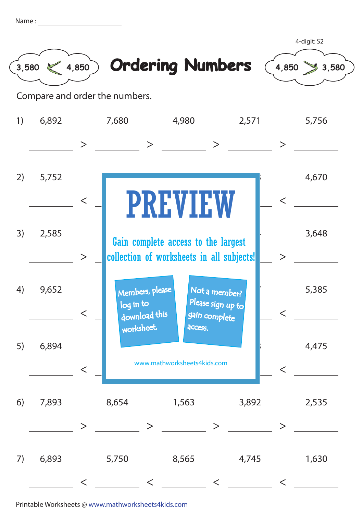| Name |  |
|------|--|
|      |  |
|      |  |



< \_\_\_\_\_\_ < \_\_\_\_\_ < \_\_\_\_\_ < <

Printable Worksheets @ www.mathworksheets4kids.com